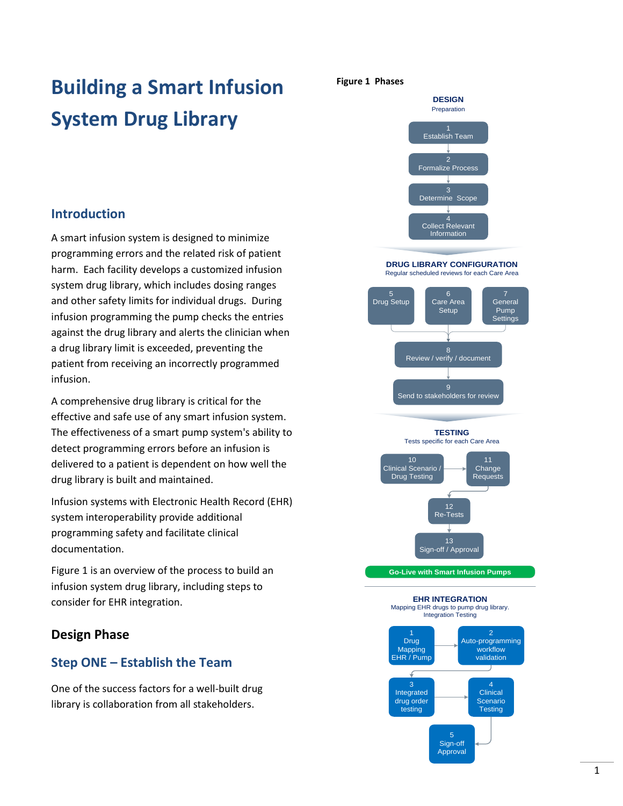# **Building a Smart Infusion System Drug Library**

### **Introduction**

A smart infusion system is designed to minimize programming errors and the related risk of patient harm. Each facility develops a customized infusion system drug library, which includes dosing ranges and other safety limits for individual drugs. During infusion programming the pump checks the entries against the drug library and alerts the clinician when a drug library limit is exceeded, preventing the patient from receiving an incorrectly programmed infusion.

A comprehensive drug library is critical for the effective and safe use of any smart infusion system. The effectiveness of a smart pump system's ability to detect programming errors before an infusion is delivered to a patient is dependent on how well the drug library is built and maintained.

Infusion systems with Electronic Health Record (EHR) system interoperability provide additional programming safety and facilitate clinical documentation.

Figure 1 is an overview of the process to build an infusion system drug library, including steps to consider for EHR integration.

### **Design Phase**

### **Step ONE – Establish the Team**

One of the success factors for a well-built drug library is collaboration from all stakeholders.

#### **Figure 1 Phases**



**DRUG LIBRARY CONFIGURATION** Regular scheduled reviews for each Care Area



**Go-Live with Smart Infusion Pumps**

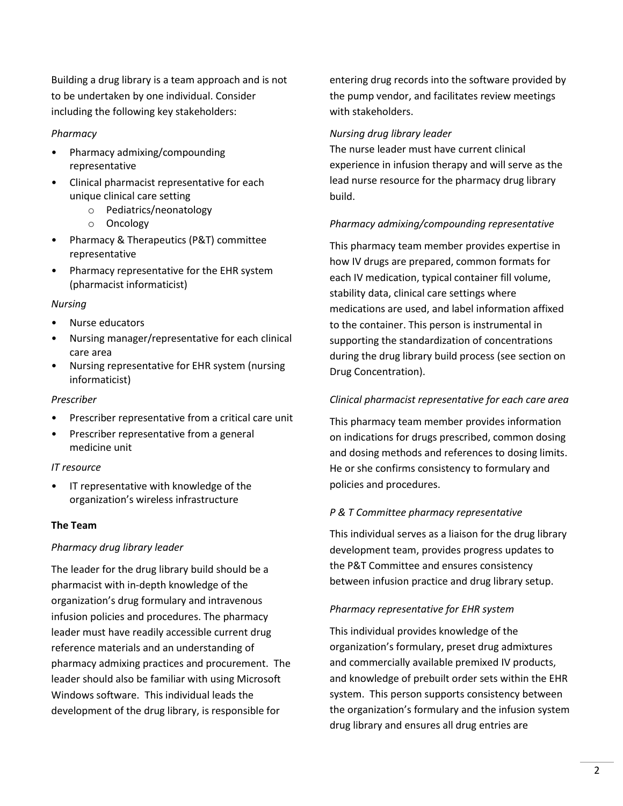Building a drug library is a team approach and is not to be undertaken by one individual. Consider including the following key stakeholders:

### *Pharmacy*

- Pharmacy admixing/compounding representative
- Clinical pharmacist representative for each unique clinical care setting
	- o Pediatrics/neonatology
	- o Oncology
- Pharmacy & Therapeutics (P&T) committee representative
- Pharmacy representative for the EHR system (pharmacist informaticist)

### *Nursing*

- Nurse educators
- Nursing manager/representative for each clinical care area
- Nursing representative for EHR system (nursing informaticist)

### *Prescriber*

- Prescriber representative from a critical care unit
- Prescriber representative from a general medicine unit

### *IT resource*

IT representative with knowledge of the organization's wireless infrastructure

### **The Team**

### *Pharmacy drug library leader*

The leader for the drug library build should be a pharmacist with in-depth knowledge of the organization's drug formulary and intravenous infusion policies and procedures. The pharmacy leader must have readily accessible current drug reference materials and an understanding of pharmacy admixing practices and procurement. The leader should also be familiar with using Microsoft Windows software. This individual leads the development of the drug library, is responsible for

entering drug records into the software provided by the pump vendor, and facilitates review meetings with stakeholders.

### *Nursing drug library leader*

The nurse leader must have current clinical experience in infusion therapy and will serve as the lead nurse resource for the pharmacy drug library build.

### *Pharmacy admixing/compounding representative*

This pharmacy team member provides expertise in how IV drugs are prepared, common formats for each IV medication, typical container fill volume, stability data, clinical care settings where medications are used, and label information affixed to the container. This person is instrumental in supporting the standardization of concentrations during the drug library build process (see section on Drug Concentration).

### *Clinical pharmacist representative for each care area*

This pharmacy team member provides information on indications for drugs prescribed, common dosing and dosing methods and references to dosing limits. He or she confirms consistency to formulary and policies and procedures.

### *P & T Committee pharmacy representative*

This individual serves as a liaison for the drug library development team, provides progress updates to the P&T Committee and ensures consistency between infusion practice and drug library setup.

### *Pharmacy representative for EHR system*

This individual provides knowledge of the organization's formulary, preset drug admixtures and commercially available premixed IV products, and knowledge of prebuilt order sets within the EHR system. This person supports consistency between the organization's formulary and the infusion system drug library and ensures all drug entries are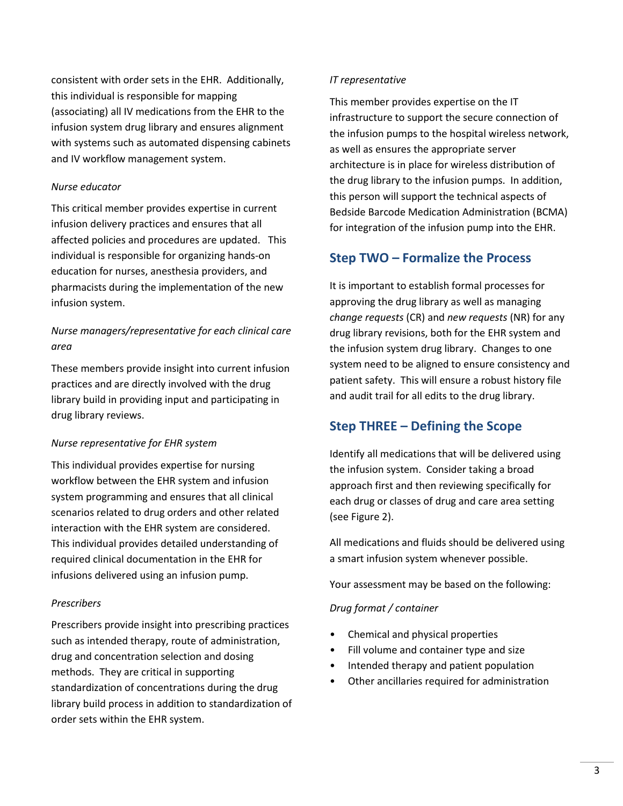consistent with order sets in the EHR. Additionally, this individual is responsible for mapping (associating) all IV medications from the EHR to the infusion system drug library and ensures alignment with systems such as automated dispensing cabinets and IV workflow management system.

#### *Nurse educator*

This critical member provides expertise in current infusion delivery practices and ensures that all affected policies and procedures are updated. This individual is responsible for organizing hands-on education for nurses, anesthesia providers, and pharmacists during the implementation of the new infusion system.

### *Nurse managers/representative for each clinical care area*

These members provide insight into current infusion practices and are directly involved with the drug library build in providing input and participating in drug library reviews.

#### *Nurse representative for EHR system*

This individual provides expertise for nursing workflow between the EHR system and infusion system programming and ensures that all clinical scenarios related to drug orders and other related interaction with the EHR system are considered. This individual provides detailed understanding of required clinical documentation in the EHR for infusions delivered using an infusion pump.

#### *Prescribers*

Prescribers provide insight into prescribing practices such as intended therapy, route of administration, drug and concentration selection and dosing methods. They are critical in supporting standardization of concentrations during the drug library build process in addition to standardization of order sets within the EHR system.

#### *IT representative*

This member provides expertise on the IT infrastructure to support the secure connection of the infusion pumps to the hospital wireless network, as well as ensures the appropriate server architecture is in place for wireless distribution of the drug library to the infusion pumps. In addition, this person will support the technical aspects of Bedside Barcode Medication Administration (BCMA) for integration of the infusion pump into the EHR.

### **Step TWO – Formalize the Process**

It is important to establish formal processes for approving the drug library as well as managing *change requests* (CR) and *new requests* (NR) for any drug library revisions, both for the EHR system and the infusion system drug library. Changes to one system need to be aligned to ensure consistency and patient safety. This will ensure a robust history file and audit trail for all edits to the drug library.

### **Step THREE – Defining the Scope**

Identify all medications that will be delivered using the infusion system. Consider taking a broad approach first and then reviewing specifically for each drug or classes of drug and care area setting (see Figure 2).

All medications and fluids should be delivered using a smart infusion system whenever possible.

Your assessment may be based on the following:

#### *Drug format / container*

- Chemical and physical properties
- Fill volume and container type and size
- Intended therapy and patient population
- Other ancillaries required for administration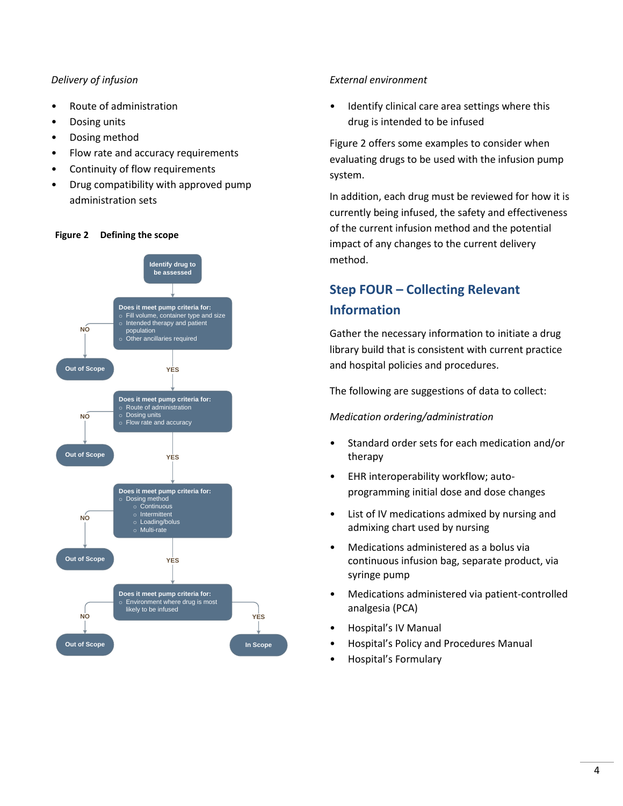### *Delivery of infusion*

- Route of administration
- Dosing units
- Dosing method
- Flow rate and accuracy requirements
- Continuity of flow requirements
- Drug compatibility with approved pump administration sets

### **Figure 2 Defining the scope**



### *External environment*

• Identify clinical care area settings where this drug is intended to be infused

Figure 2 offers some examples to consider when evaluating drugs to be used with the infusion pump system.

In addition, each drug must be reviewed for how it is currently being infused, the safety and effectiveness of the current infusion method and the potential impact of any changes to the current delivery method.

# **Step FOUR – Collecting Relevant Information**

Gather the necessary information to initiate a drug library build that is consistent with current practice and hospital policies and procedures.

The following are suggestions of data to collect:

### *Medication ordering/administration*

- Standard order sets for each medication and/or therapy
- EHR interoperability workflow; autoprogramming initial dose and dose changes
- List of IV medications admixed by nursing and admixing chart used by nursing
- Medications administered as a bolus via continuous infusion bag, separate product, via syringe pump
- Medications administered via patient-controlled analgesia (PCA)
- Hospital's IV Manual
- Hospital's Policy and Procedures Manual
- Hospital's Formulary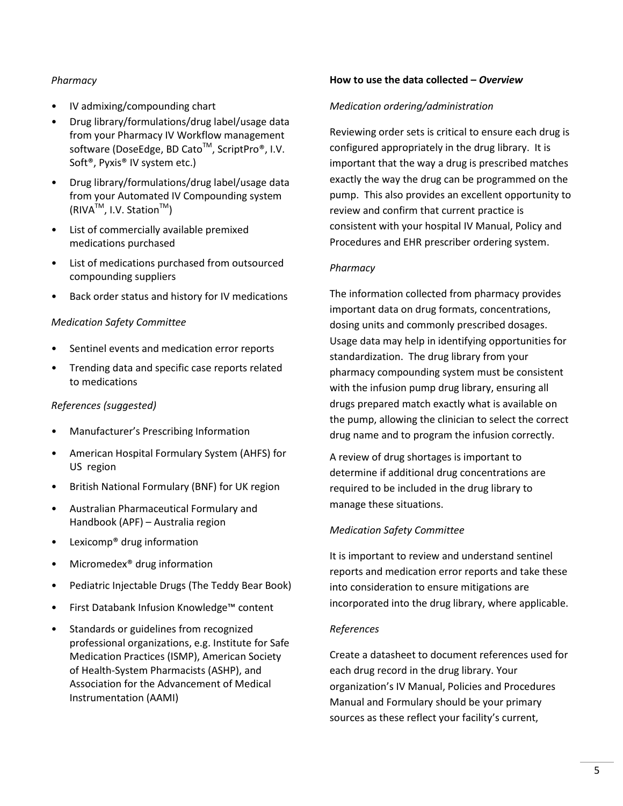### *Pharmacy*

- IV admixing/compounding chart
- Drug library/formulations/drug label/usage data from your Pharmacy IV Workflow management software (DoseEdge, BD Cato<sup>™</sup>, ScriptPro®, I.V. Soft®, Pyxis® IV system etc.)
- Drug library/formulations/drug label/usage data from your Automated IV Compounding system  $(RIVA^{TM}, I.V. Station^{TM})$
- List of commercially available premixed medications purchased
- List of medications purchased from outsourced compounding suppliers
- Back order status and history for IV medications

### *Medication Safety Committee*

- Sentinel events and medication error reports
- Trending data and specific case reports related to medications

### *References (suggested)*

- Manufacturer's Prescribing Information
- American Hospital Formulary System (AHFS) for US region
- British National Formulary (BNF) for UK region
- Australian Pharmaceutical Formulary and Handbook (APF) – Australia region
- Lexicomp® drug information
- Micromedex<sup>®</sup> drug information
- Pediatric Injectable Drugs (The Teddy Bear Book)
- First Databank Infusion Knowledge™ content
- Standards or guidelines from recognized professional organizations, e.g. Institute for Safe Medication Practices (ISMP), American Society of Health-System Pharmacists (ASHP), and Association for the Advancement of Medical Instrumentation (AAMI)

#### **How to use the data collected –** *Overview*

#### *Medication ordering/administration*

Reviewing order sets is critical to ensure each drug is configured appropriately in the drug library. It is important that the way a drug is prescribed matches exactly the way the drug can be programmed on the pump. This also provides an excellent opportunity to review and confirm that current practice is consistent with your hospital IV Manual, Policy and Procedures and EHR prescriber ordering system.

### *Pharmacy*

The information collected from pharmacy provides important data on drug formats, concentrations, dosing units and commonly prescribed dosages. Usage data may help in identifying opportunities for standardization. The drug library from your pharmacy compounding system must be consistent with the infusion pump drug library, ensuring all drugs prepared match exactly what is available on the pump, allowing the clinician to select the correct drug name and to program the infusion correctly.

A review of drug shortages is important to determine if additional drug concentrations are required to be included in the drug library to manage these situations.

### *Medication Safety Committee*

It is important to review and understand sentinel reports and medication error reports and take these into consideration to ensure mitigations are incorporated into the drug library, where applicable.

#### *References*

Create a datasheet to document references used for each drug record in the drug library. Your organization's IV Manual, Policies and Procedures Manual and Formulary should be your primary sources as these reflect your facility's current,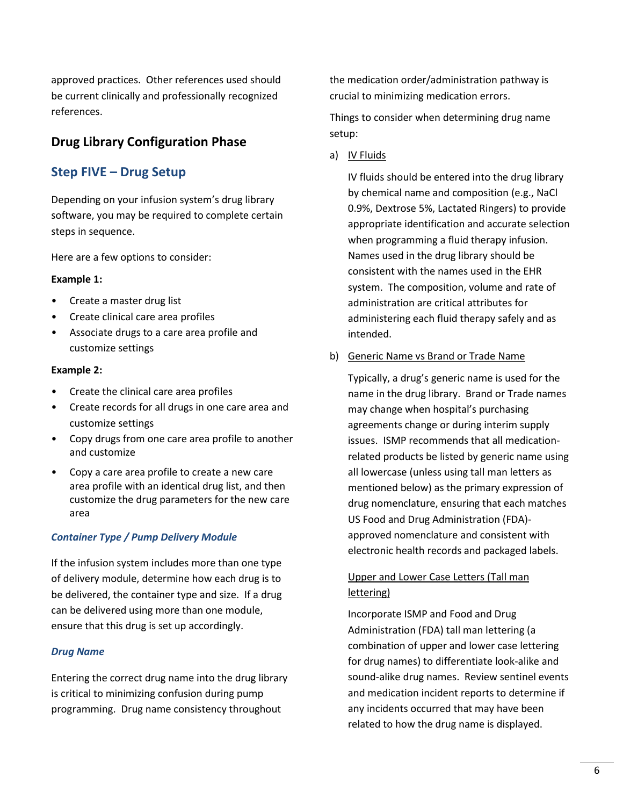approved practices. Other references used should be current clinically and professionally recognized references.

### **Drug Library Configuration Phase**

# **Step FIVE – Drug Setup**

Depending on your infusion system's drug library software, you may be required to complete certain steps in sequence.

Here are a few options to consider:

### **Example 1:**

- Create a master drug list
- Create clinical care area profiles
- Associate drugs to a care area profile and customize settings

### **Example 2:**

- Create the clinical care area profiles
- Create records for all drugs in one care area and customize settings
- Copy drugs from one care area profile to another and customize
- Copy a care area profile to create a new care area profile with an identical drug list, and then customize the drug parameters for the new care area

### *Container Type / Pump Delivery Module*

If the infusion system includes more than one type of delivery module, determine how each drug is to be delivered, the container type and size. If a drug can be delivered using more than one module, ensure that this drug is set up accordingly.

### *Drug Name*

Entering the correct drug name into the drug library is critical to minimizing confusion during pump programming. Drug name consistency throughout

the medication order/administration pathway is crucial to minimizing medication errors.

Things to consider when determining drug name setup:

a) IV Fluids

IV fluids should be entered into the drug library by chemical name and composition (e.g., NaCl 0.9%, Dextrose 5%, Lactated Ringers) to provide appropriate identification and accurate selection when programming a fluid therapy infusion. Names used in the drug library should be consistent with the names used in the EHR system. The composition, volume and rate of administration are critical attributes for administering each fluid therapy safely and as intended.

b) Generic Name vs Brand or Trade Name

Typically, a drug's generic name is used for the name in the drug library. Brand or Trade names may change when hospital's purchasing agreements change or during interim supply issues. ISMP recommends that all medicationrelated products be listed by generic name using all lowercase (unless using tall man letters as mentioned below) as the primary expression of drug nomenclature, ensuring that each matches US Food and Drug Administration (FDA) approved nomenclature and consistent with electronic health records and packaged labels.

### Upper and Lower Case Letters (Tall man lettering)

Incorporate ISMP and Food and Drug Administration (FDA) tall man lettering (a combination of upper and lower case lettering for drug names) to differentiate look-alike and sound-alike drug names. Review sentinel events and medication incident reports to determine if any incidents occurred that may have been related to how the drug name is displayed.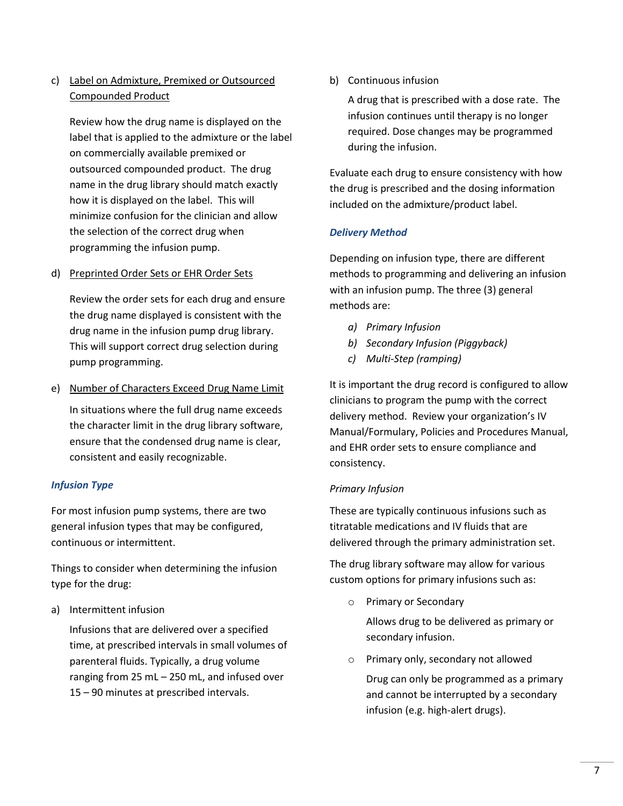### c) Label on Admixture, Premixed or Outsourced Compounded Product

Review how the drug name is displayed on the label that is applied to the admixture or the label on commercially available premixed or outsourced compounded product. The drug name in the drug library should match exactly how it is displayed on the label. This will minimize confusion for the clinician and allow the selection of the correct drug when programming the infusion pump.

### d) Preprinted Order Sets or EHR Order Sets

Review the order sets for each drug and ensure the drug name displayed is consistent with the drug name in the infusion pump drug library. This will support correct drug selection during pump programming.

e) Number of Characters Exceed Drug Name Limit

In situations where the full drug name exceeds the character limit in the drug library software, ensure that the condensed drug name is clear, consistent and easily recognizable.

### *Infusion Type*

For most infusion pump systems, there are two general infusion types that may be configured, continuous or intermittent.

Things to consider when determining the infusion type for the drug:

a) Intermittent infusion

Infusions that are delivered over a specified time, at prescribed intervals in small volumes of parenteral fluids. Typically, a drug volume ranging from 25 mL – 250 mL, and infused over 15 – 90 minutes at prescribed intervals.

b) Continuous infusion

A drug that is prescribed with a dose rate. The infusion continues until therapy is no longer required. Dose changes may be programmed during the infusion.

Evaluate each drug to ensure consistency with how the drug is prescribed and the dosing information included on the admixture/product label.

### *Delivery Method*

Depending on infusion type, there are different methods to programming and delivering an infusion with an infusion pump. The three (3) general methods are:

- *a) Primary Infusion*
- *b) Secondary Infusion (Piggyback)*
- *c) Multi-Step (ramping)*

It is important the drug record is configured to allow clinicians to program the pump with the correct delivery method. Review your organization's IV Manual/Formulary, Policies and Procedures Manual, and EHR order sets to ensure compliance and consistency.

### *Primary Infusion*

These are typically continuous infusions such as titratable medications and IV fluids that are delivered through the primary administration set.

The drug library software may allow for various custom options for primary infusions such as:

o Primary or Secondary

Allows drug to be delivered as primary or secondary infusion.

- o Primary only, secondary not allowed
	- Drug can only be programmed as a primary and cannot be interrupted by a secondary infusion (e.g. high-alert drugs).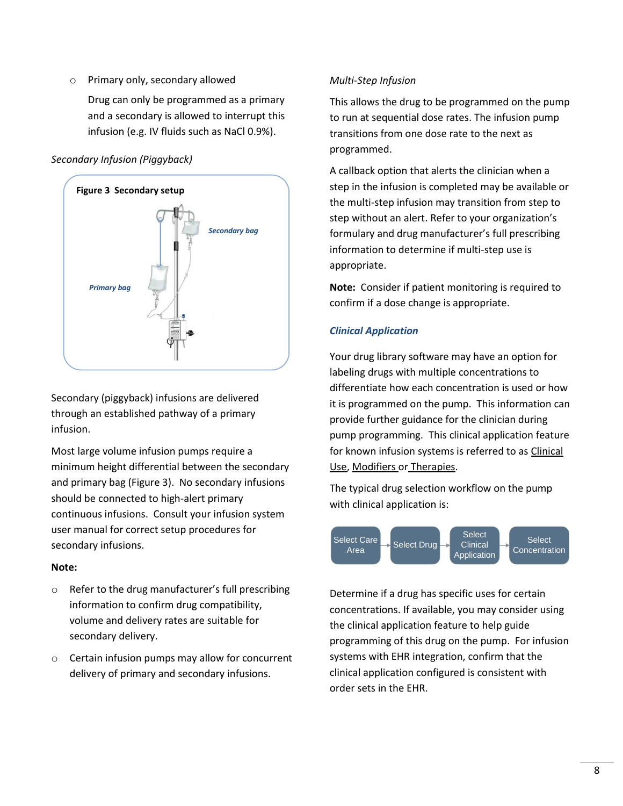o Primary only, secondary allowed

Drug can only be programmed as a primary and a secondary is allowed to interrupt this infusion (e.g. IV fluids such as NaCl 0.9%).

### *Secondary Infusion (Piggyback)*



Secondary (piggyback) infusions are delivered through an established pathway of a primary infusion.

Most large volume infusion pumps require a minimum height differential between the secondary and primary bag (Figure 3). No secondary infusions should be connected to high-alert primary continuous infusions. Consult your infusion system user manual for correct setup procedures for secondary infusions.

### **Note:**

- o Refer to the drug manufacturer's full prescribing information to confirm drug compatibility, volume and delivery rates are suitable for secondary delivery.
- o Certain infusion pumps may allow for concurrent delivery of primary and secondary infusions.

### *Multi-Step Infusion*

This allows the drug to be programmed on the pump to run at sequential dose rates. The infusion pump transitions from one dose rate to the next as programmed.

A callback option that alerts the clinician when a step in the infusion is completed may be available or the multi-step infusion may transition from step to step without an alert. Refer to your organization's formulary and drug manufacturer's full prescribing information to determine if multi-step use is appropriate.

**Note:** Consider if patient monitoring is required to confirm if a dose change is appropriate.

### *Clinical Application*

Your drug library software may have an option for labeling drugs with multiple concentrations to differentiate how each concentration is used or how it is programmed on the pump. This information can provide further guidance for the clinician during pump programming. This clinical application feature for known infusion systems is referred to as Clinical Use, Modifiers or Therapies.

The typical drug selection workflow on the pump with clinical application is:



Determine if a drug has specific uses for certain concentrations. If available, you may consider using the clinical application feature to help guide programming of this drug on the pump. For infusion systems with EHR integration, confirm that the clinical application configured is consistent with order sets in the EHR.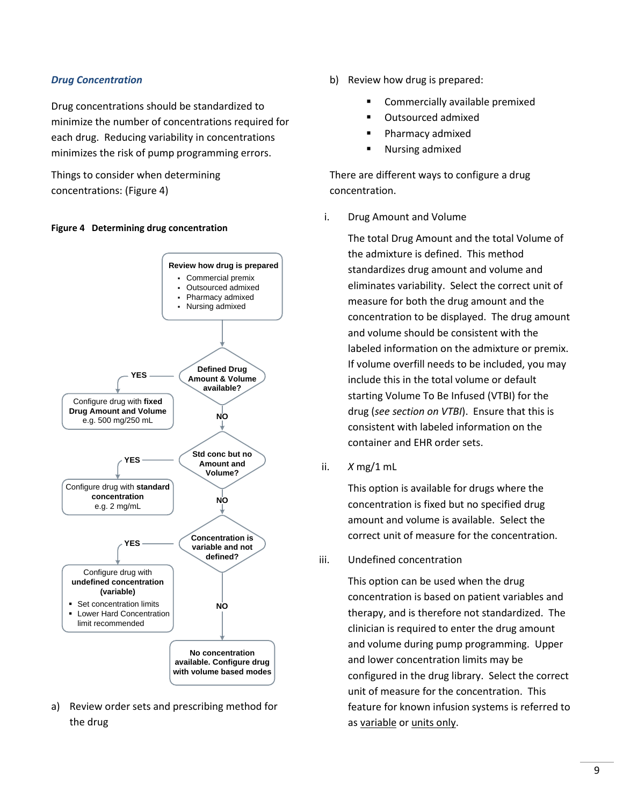### *Drug Concentration*

Drug concentrations should be standardized to minimize the number of concentrations required for each drug. Reducing variability in concentrations minimizes the risk of pump programming errors.

Things to consider when determining concentrations: (Figure 4)

#### **Figure 4 Determining drug concentration**



a) Review order sets and prescribing method for the drug

- b) Review how drug is prepared:
	- Commercially available premixed
	- Outsourced admixed
	- Pharmacy admixed
	- Nursing admixed

There are different ways to configure a drug concentration.

i. Drug Amount and Volume

The total Drug Amount and the total Volume of the admixture is defined. This method standardizes drug amount and volume and eliminates variability. Select the correct unit of measure for both the drug amount and the concentration to be displayed. The drug amount and volume should be consistent with the labeled information on the admixture or premix. If volume overfill needs to be included, you may include this in the total volume or default starting Volume To Be Infused (VTBI) for the drug (*see section on VTBI*). Ensure that this is consistent with labeled information on the container and EHR order sets.

ii. *X* mg/1 mL

This option is available for drugs where the concentration is fixed but no specified drug amount and volume is available. Select the correct unit of measure for the concentration.

iii. Undefined concentration

This option can be used when the drug concentration is based on patient variables and therapy, and is therefore not standardized. The clinician is required to enter the drug amount and volume during pump programming. Upper and lower concentration limits may be configured in the drug library. Select the correct unit of measure for the concentration. This feature for known infusion systems is referred to as variable or units only.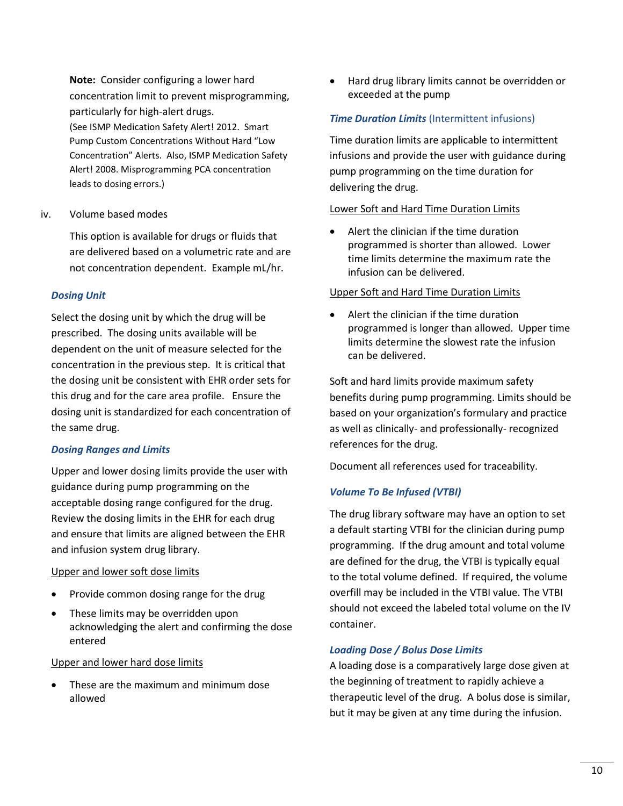**Note:** Consider configuring a lower hard concentration limit to prevent misprogramming, particularly for high-alert drugs. (See ISMP Medication Safety Alert! 2012. Smart Pump Custom Concentrations Without Hard "Low Concentration" Alerts. Also, ISMP Medication Safety Alert! 2008. Misprogramming PCA concentration leads to dosing errors.)

#### iv. Volume based modes

This option is available for drugs or fluids that are delivered based on a volumetric rate and are not concentration dependent. Example mL/hr.

### *Dosing Unit*

Select the dosing unit by which the drug will be prescribed. The dosing units available will be dependent on the unit of measure selected for the concentration in the previous step. It is critical that the dosing unit be consistent with EHR order sets for this drug and for the care area profile. Ensure the dosing unit is standardized for each concentration of the same drug.

#### *Dosing Ranges and Limits*

Upper and lower dosing limits provide the user with guidance during pump programming on the acceptable dosing range configured for the drug. Review the dosing limits in the EHR for each drug and ensure that limits are aligned between the EHR and infusion system drug library.

#### Upper and lower soft dose limits

- Provide common dosing range for the drug
- These limits may be overridden upon acknowledging the alert and confirming the dose entered

### Upper and lower hard dose limits

 These are the maximum and minimum dose allowed

 Hard drug library limits cannot be overridden or exceeded at the pump

### *Time Duration Limits* (Intermittent infusions)

Time duration limits are applicable to intermittent infusions and provide the user with guidance during pump programming on the time duration for delivering the drug.

### Lower Soft and Hard Time Duration Limits

 Alert the clinician if the time duration programmed is shorter than allowed. Lower time limits determine the maximum rate the infusion can be delivered.

### Upper Soft and Hard Time Duration Limits

 Alert the clinician if the time duration programmed is longer than allowed. Upper time limits determine the slowest rate the infusion can be delivered.

Soft and hard limits provide maximum safety benefits during pump programming. Limits should be based on your organization's formulary and practice as well as clinically- and professionally- recognized references for the drug.

Document all references used for traceability.

### *Volume To Be Infused (VTBI)*

The drug library software may have an option to set a default starting VTBI for the clinician during pump programming. If the drug amount and total volume are defined for the drug, the VTBI is typically equal to the total volume defined. If required, the volume overfill may be included in the VTBI value. The VTBI should not exceed the labeled total volume on the IV container.

### *Loading Dose / Bolus Dose Limits*

A loading dose is a comparatively large dose given at the beginning of treatment to rapidly achieve a therapeutic level of the drug. A bolus dose is similar, but it may be given at any time during the infusion.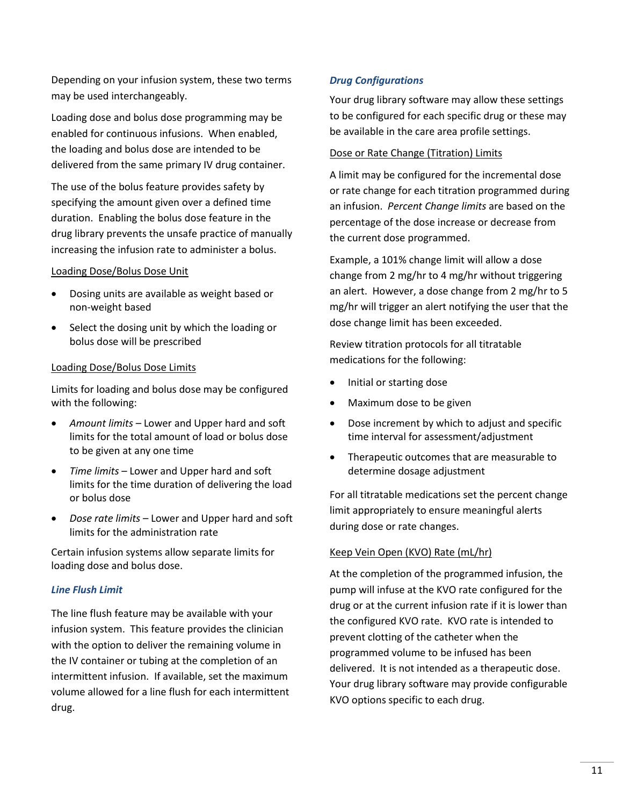Depending on your infusion system, these two terms may be used interchangeably.

Loading dose and bolus dose programming may be enabled for continuous infusions. When enabled, the loading and bolus dose are intended to be delivered from the same primary IV drug container.

The use of the bolus feature provides safety by specifying the amount given over a defined time duration. Enabling the bolus dose feature in the drug library prevents the unsafe practice of manually increasing the infusion rate to administer a bolus.

### Loading Dose/Bolus Dose Unit

- Dosing units are available as weight based or non-weight based
- Select the dosing unit by which the loading or bolus dose will be prescribed

### Loading Dose/Bolus Dose Limits

Limits for loading and bolus dose may be configured with the following:

- *Amount limits* Lower and Upper hard and soft limits for the total amount of load or bolus dose to be given at any one time
- *Time limits* Lower and Upper hard and soft limits for the time duration of delivering the load or bolus dose
- *Dose rate limits* Lower and Upper hard and soft limits for the administration rate

Certain infusion systems allow separate limits for loading dose and bolus dose.

### *Line Flush Limit*

The line flush feature may be available with your infusion system. This feature provides the clinician with the option to deliver the remaining volume in the IV container or tubing at the completion of an intermittent infusion. If available, set the maximum volume allowed for a line flush for each intermittent drug.

### *Drug Configurations*

Your drug library software may allow these settings to be configured for each specific drug or these may be available in the care area profile settings.

#### Dose or Rate Change (Titration) Limits

A limit may be configured for the incremental dose or rate change for each titration programmed during an infusion. *Percent Change limits* are based on the percentage of the dose increase or decrease from the current dose programmed.

Example, a 101% change limit will allow a dose change from 2 mg/hr to 4 mg/hr without triggering an alert. However, a dose change from 2 mg/hr to 5 mg/hr will trigger an alert notifying the user that the dose change limit has been exceeded.

Review titration protocols for all titratable medications for the following:

- Initial or starting dose
- Maximum dose to be given
- Dose increment by which to adjust and specific time interval for assessment/adjustment
- Therapeutic outcomes that are measurable to determine dosage adjustment

For all titratable medications set the percent change limit appropriately to ensure meaningful alerts during dose or rate changes.

### Keep Vein Open (KVO) Rate (mL/hr)

At the completion of the programmed infusion, the pump will infuse at the KVO rate configured for the drug or at the current infusion rate if it is lower than the configured KVO rate. KVO rate is intended to prevent clotting of the catheter when the programmed volume to be infused has been delivered. It is not intended as a therapeutic dose. Your drug library software may provide configurable KVO options specific to each drug.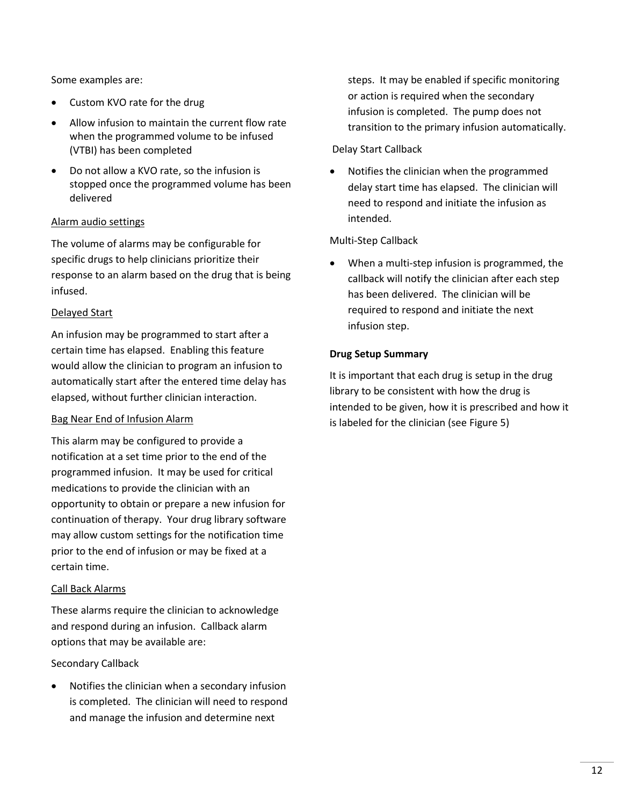Some examples are:

- Custom KVO rate for the drug
- Allow infusion to maintain the current flow rate when the programmed volume to be infused (VTBI) has been completed
- Do not allow a KVO rate, so the infusion is stopped once the programmed volume has been delivered

### Alarm audio settings

The volume of alarms may be configurable for specific drugs to help clinicians prioritize their response to an alarm based on the drug that is being infused.

### Delayed Start

An infusion may be programmed to start after a certain time has elapsed. Enabling this feature would allow the clinician to program an infusion to automatically start after the entered time delay has elapsed, without further clinician interaction.

### Bag Near End of Infusion Alarm

This alarm may be configured to provide a notification at a set time prior to the end of the programmed infusion. It may be used for critical medications to provide the clinician with an opportunity to obtain or prepare a new infusion for continuation of therapy. Your drug library software may allow custom settings for the notification time prior to the end of infusion or may be fixed at a certain time.

### Call Back Alarms

These alarms require the clinician to acknowledge and respond during an infusion. Callback alarm options that may be available are:

### Secondary Callback

 Notifies the clinician when a secondary infusion is completed. The clinician will need to respond and manage the infusion and determine next

steps. It may be enabled if specific monitoring or action is required when the secondary infusion is completed. The pump does not transition to the primary infusion automatically.

### Delay Start Callback

 Notifies the clinician when the programmed delay start time has elapsed. The clinician will need to respond and initiate the infusion as intended.

### Multi-Step Callback

 When a multi-step infusion is programmed, the callback will notify the clinician after each step has been delivered. The clinician will be required to respond and initiate the next infusion step.

### **Drug Setup Summary**

It is important that each drug is setup in the drug library to be consistent with how the drug is intended to be given, how it is prescribed and how it is labeled for the clinician (see Figure 5)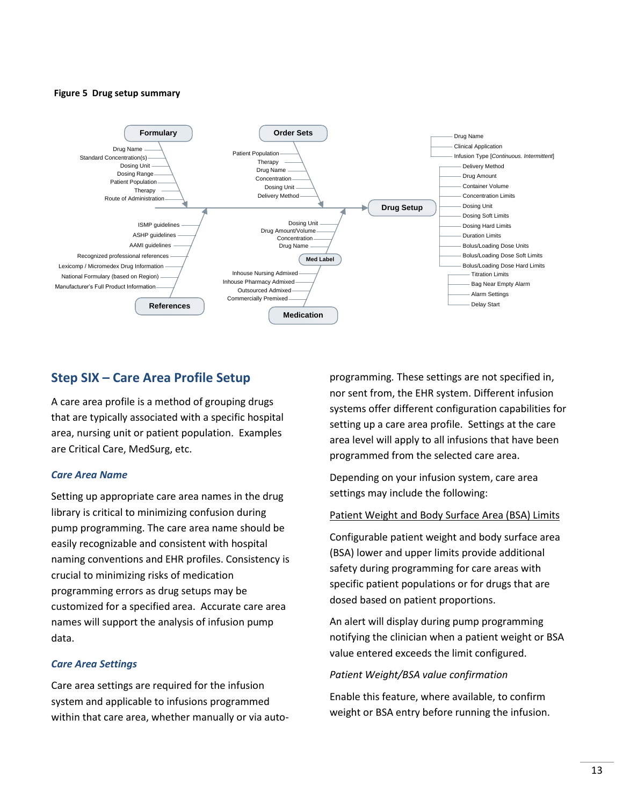#### **Figure 5 Drug setup summary**



### **Step SIX – Care Area Profile Setup**

A care area profile is a method of grouping drugs that are typically associated with a specific hospital area, nursing unit or patient population. Examples are Critical Care, MedSurg, etc.

### *Care Area Name*

Setting up appropriate care area names in the drug library is critical to minimizing confusion during pump programming. The care area name should be easily recognizable and consistent with hospital naming conventions and EHR profiles. Consistency is crucial to minimizing risks of medication programming errors as drug setups may be customized for a specified area. Accurate care area names will support the analysis of infusion pump data.

#### *Care Area Settings*

Care area settings are required for the infusion system and applicable to infusions programmed within that care area, whether manually or via auto-

programming. These settings are not specified in, nor sent from, the EHR system. Different infusion systems offer different configuration capabilities for setting up a care area profile. Settings at the care area level will apply to all infusions that have been programmed from the selected care area.

Depending on your infusion system, care area settings may include the following:

#### Patient Weight and Body Surface Area (BSA) Limits

Configurable patient weight and body surface area (BSA) lower and upper limits provide additional safety during programming for care areas with specific patient populations or for drugs that are dosed based on patient proportions.

An alert will display during pump programming notifying the clinician when a patient weight or BSA value entered exceeds the limit configured.

#### *Patient Weight/BSA value confirmation*

Enable this feature, where available, to confirm weight or BSA entry before running the infusion.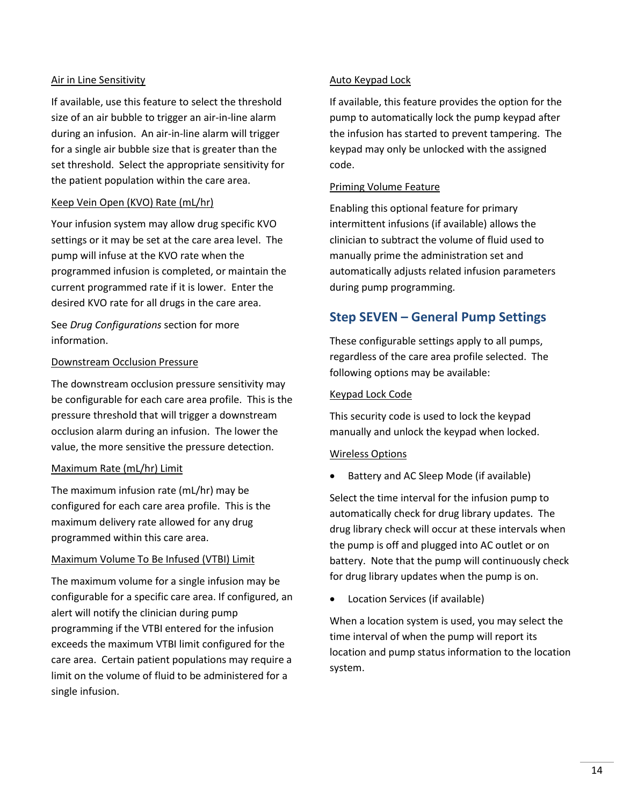#### Air in Line Sensitivity

If available, use this feature to select the threshold size of an air bubble to trigger an air-in-line alarm during an infusion. An air-in-line alarm will trigger for a single air bubble size that is greater than the set threshold. Select the appropriate sensitivity for the patient population within the care area.

### Keep Vein Open (KVO) Rate (mL/hr)

Your infusion system may allow drug specific KVO settings or it may be set at the care area level. The pump will infuse at the KVO rate when the programmed infusion is completed, or maintain the current programmed rate if it is lower. Enter the desired KVO rate for all drugs in the care area.

See *Drug Configurations* section for more information.

#### Downstream Occlusion Pressure

The downstream occlusion pressure sensitivity may be configurable for each care area profile. This is the pressure threshold that will trigger a downstream occlusion alarm during an infusion. The lower the value, the more sensitive the pressure detection.

#### Maximum Rate (mL/hr) Limit

The maximum infusion rate (mL/hr) may be configured for each care area profile. This is the maximum delivery rate allowed for any drug programmed within this care area.

#### Maximum Volume To Be Infused (VTBI) Limit

The maximum volume for a single infusion may be configurable for a specific care area. If configured, an alert will notify the clinician during pump programming if the VTBI entered for the infusion exceeds the maximum VTBI limit configured for the care area. Certain patient populations may require a limit on the volume of fluid to be administered for a single infusion.

#### Auto Keypad Lock

If available, this feature provides the option for the pump to automatically lock the pump keypad after the infusion has started to prevent tampering. The keypad may only be unlocked with the assigned code.

#### Priming Volume Feature

Enabling this optional feature for primary intermittent infusions (if available) allows the clinician to subtract the volume of fluid used to manually prime the administration set and automatically adjusts related infusion parameters during pump programming.

### **Step SEVEN – General Pump Settings**

These configurable settings apply to all pumps, regardless of the care area profile selected. The following options may be available:

#### Keypad Lock Code

This security code is used to lock the keypad manually and unlock the keypad when locked.

#### Wireless Options

Battery and AC Sleep Mode (if available)

Select the time interval for the infusion pump to automatically check for drug library updates. The drug library check will occur at these intervals when the pump is off and plugged into AC outlet or on battery. Note that the pump will continuously check for drug library updates when the pump is on.

Location Services (if available)

When a location system is used, you may select the time interval of when the pump will report its location and pump status information to the location system.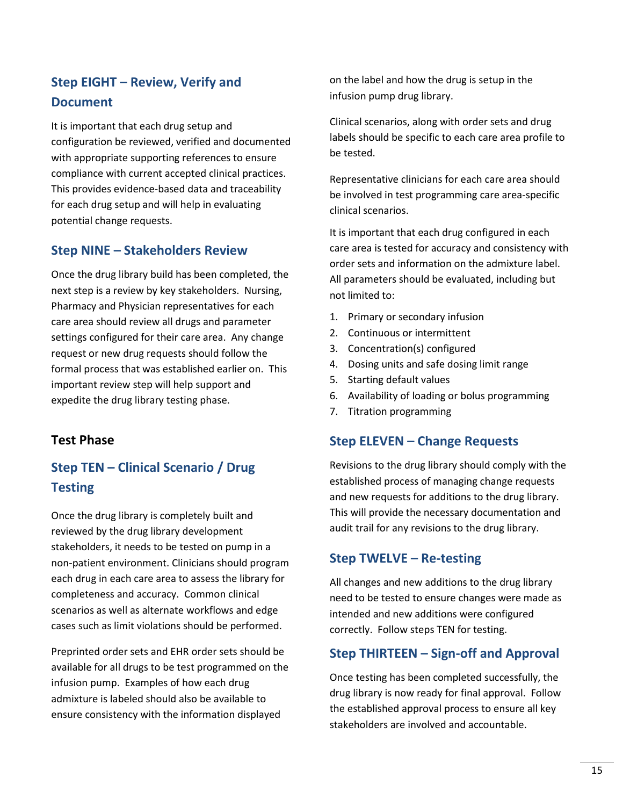# **Step EIGHT – Review, Verify and Document**

It is important that each drug setup and configuration be reviewed, verified and documented with appropriate supporting references to ensure compliance with current accepted clinical practices. This provides evidence-based data and traceability for each drug setup and will help in evaluating potential change requests.

## **Step NINE – Stakeholders Review**

Once the drug library build has been completed, the next step is a review by key stakeholders. Nursing, Pharmacy and Physician representatives for each care area should review all drugs and parameter settings configured for their care area. Any change request or new drug requests should follow the formal process that was established earlier on. This important review step will help support and expedite the drug library testing phase.

### **Test Phase**

# **Step TEN – Clinical Scenario / Drug Testing**

Once the drug library is completely built and reviewed by the drug library development stakeholders, it needs to be tested on pump in a non-patient environment. Clinicians should program each drug in each care area to assess the library for completeness and accuracy. Common clinical scenarios as well as alternate workflows and edge cases such as limit violations should be performed.

Preprinted order sets and EHR order sets should be available for all drugs to be test programmed on the infusion pump. Examples of how each drug admixture is labeled should also be available to ensure consistency with the information displayed

on the label and how the drug is setup in the infusion pump drug library.

Clinical scenarios, along with order sets and drug labels should be specific to each care area profile to be tested.

Representative clinicians for each care area should be involved in test programming care area-specific clinical scenarios.

It is important that each drug configured in each care area is tested for accuracy and consistency with order sets and information on the admixture label. All parameters should be evaluated, including but not limited to:

- 1. Primary or secondary infusion
- 2. Continuous or intermittent
- 3. Concentration(s) configured
- 4. Dosing units and safe dosing limit range
- 5. Starting default values
- 6. Availability of loading or bolus programming
- 7. Titration programming

### **Step ELEVEN – Change Requests**

Revisions to the drug library should comply with the established process of managing change requests and new requests for additions to the drug library. This will provide the necessary documentation and audit trail for any revisions to the drug library.

### **Step TWELVE – Re-testing**

All changes and new additions to the drug library need to be tested to ensure changes were made as intended and new additions were configured correctly. Follow steps TEN for testing.

### **Step THIRTEEN – Sign-off and Approval**

Once testing has been completed successfully, the drug library is now ready for final approval. Follow the established approval process to ensure all key stakeholders are involved and accountable.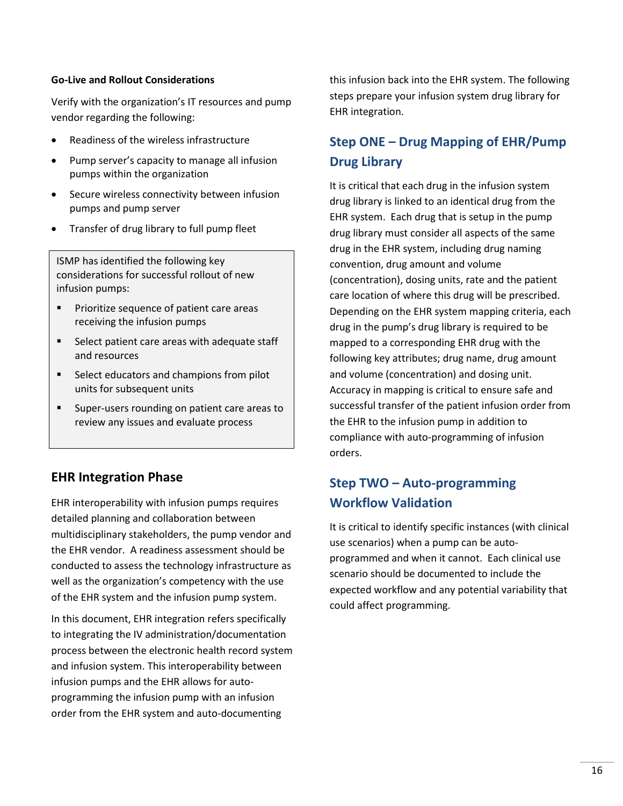### **Go-Live and Rollout Considerations**

Verify with the organization's IT resources and pump vendor regarding the following:

- Readiness of the wireless infrastructure
- Pump server's capacity to manage all infusion pumps within the organization
- Secure wireless connectivity between infusion pumps and pump server
- Transfer of drug library to full pump fleet

ISMP has identified the following key considerations for successful rollout of new infusion pumps:

- **Prioritize sequence of patient care areas** receiving the infusion pumps
- Select patient care areas with adequate staff and resources
- Select educators and champions from pilot units for subsequent units
- Super-users rounding on patient care areas to review any issues and evaluate process

### **EHR Integration Phase**

EHR interoperability with infusion pumps requires detailed planning and collaboration between multidisciplinary stakeholders, the pump vendor and the EHR vendor. A readiness assessment should be conducted to assess the technology infrastructure as well as the organization's competency with the use of the EHR system and the infusion pump system.

In this document, EHR integration refers specifically to integrating the IV administration/documentation process between the electronic health record system and infusion system. This interoperability between infusion pumps and the EHR allows for autoprogramming the infusion pump with an infusion order from the EHR system and auto-documenting

this infusion back into the EHR system. The following steps prepare your infusion system drug library for EHR integration.

# **Step ONE – Drug Mapping of EHR/Pump Drug Library**

It is critical that each drug in the infusion system drug library is linked to an identical drug from the EHR system. Each drug that is setup in the pump drug library must consider all aspects of the same drug in the EHR system, including drug naming convention, drug amount and volume (concentration), dosing units, rate and the patient care location of where this drug will be prescribed. Depending on the EHR system mapping criteria, each drug in the pump's drug library is required to be mapped to a corresponding EHR drug with the following key attributes; drug name, drug amount and volume (concentration) and dosing unit. Accuracy in mapping is critical to ensure safe and successful transfer of the patient infusion order from the EHR to the infusion pump in addition to compliance with auto-programming of infusion orders.

# **Step TWO – Auto-programming Workflow Validation**

It is critical to identify specific instances (with clinical use scenarios) when a pump can be autoprogrammed and when it cannot. Each clinical use scenario should be documented to include the expected workflow and any potential variability that could affect programming.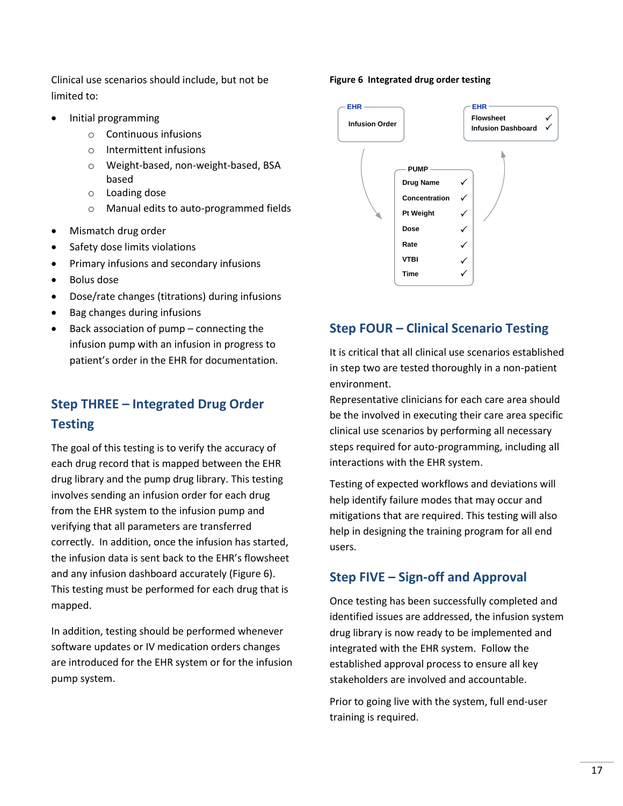Clinical use scenarios should include, but not be limited to:

- Initial programming
	- o Continuous infusions
	- o Intermittent infusions
	- o Weight-based, non-weight-based, BSA based
	- o Loading dose
	- o Manual edits to auto-programmed fields
- Mismatch drug order
- Safety dose limits violations
- Primary infusions and secondary infusions
- Bolus dose
- Dose/rate changes (titrations) during infusions
- Bag changes during infusions
- Back association of pump connecting the infusion pump with an infusion in progress to patient's order in the EHR for documentation.

# **Step THREE – Integrated Drug Order Testing**

The goal of this testing is to verify the accuracy of each drug record that is mapped between the EHR drug library and the pump drug library. This testing involves sending an infusion order for each drug from the EHR system to the infusion pump and verifying that all parameters are transferred correctly. In addition, once the infusion has started, the infusion data is sent back to the EHR's flowsheet and any infusion dashboard accurately (Figure 6). This testing must be performed for each drug that is mapped.

In addition, testing should be performed whenever software updates or IV medication orders changes are introduced for the EHR system or for the infusion pump system.

#### **Figure 6 Integrated drug order testing**



### **Step FOUR – Clinical Scenario Testing**

It is critical that all clinical use scenarios established in step two are tested thoroughly in a non-patient environment.

Representative clinicians for each care area should be the involved in executing their care area specific clinical use scenarios by performing all necessary steps required for auto-programming, including all interactions with the EHR system.

Testing of expected workflows and deviations will help identify failure modes that may occur and mitigations that are required. This testing will also help in designing the training program for all end users.

### **Step FIVE – Sign-off and Approval**

Once testing has been successfully completed and identified issues are addressed, the infusion system drug library is now ready to be implemented and integrated with the EHR system. Follow the established approval process to ensure all key stakeholders are involved and accountable.

Prior to going live with the system, full end-user training is required.